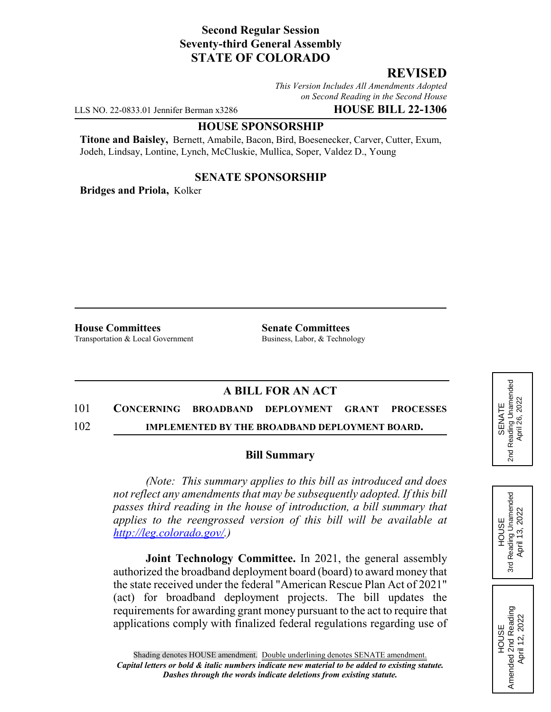### **Second Regular Session Seventy-third General Assembly STATE OF COLORADO**

# **REVISED**

*This Version Includes All Amendments Adopted on Second Reading in the Second House*

LLS NO. 22-0833.01 Jennifer Berman x3286 **HOUSE BILL 22-1306**

#### **HOUSE SPONSORSHIP**

**Titone and Baisley,** Bernett, Amabile, Bacon, Bird, Boesenecker, Carver, Cutter, Exum, Jodeh, Lindsay, Lontine, Lynch, McCluskie, Mullica, Soper, Valdez D., Young

### **SENATE SPONSORSHIP**

**Bridges and Priola,** Kolker

**House Committees Senate Committees** Transportation & Local Government Business, Labor, & Technology

## **A BILL FOR AN ACT**

### 101 **CONCERNING BROADBAND DEPLOYMENT GRANT PROCESSES**

102 **IMPLEMENTED BY THE BROADBAND DEPLOYMENT BOARD.**

#### **Bill Summary**

*(Note: This summary applies to this bill as introduced and does not reflect any amendments that may be subsequently adopted. If this bill passes third reading in the house of introduction, a bill summary that applies to the reengrossed version of this bill will be available at http://leg.colorado.gov/.)*

**Joint Technology Committee.** In 2021, the general assembly authorized the broadband deployment board (board) to award money that the state received under the federal "American Rescue Plan Act of 2021" (act) for broadband deployment projects. The bill updates the requirements for awarding grant money pursuant to the act to require that applications comply with finalized federal regulations regarding use of





HOUSE Amended 2nd Reading April 12, 2022

Amended 2nd Reading<br>April 12, 2022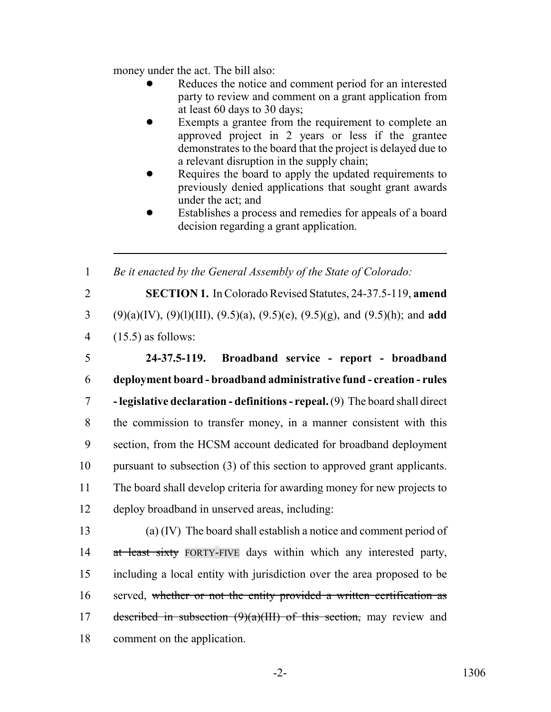money under the act. The bill also:

- Reduces the notice and comment period for an interested party to review and comment on a grant application from at least 60 days to 30 days;
- Exempts a grantee from the requirement to complete an approved project in 2 years or less if the grantee demonstrates to the board that the project is delayed due to a relevant disruption in the supply chain;
- Requires the board to apply the updated requirements to previously denied applications that sought grant awards under the act; and
- Establishes a process and remedies for appeals of a board decision regarding a grant application.

1 *Be it enacted by the General Assembly of the State of Colorado:*

2 **SECTION 1.** In Colorado Revised Statutes, 24-37.5-119, **amend** 3 (9)(a)(IV), (9)(l)(III), (9.5)(a), (9.5)(e), (9.5)(g), and (9.5)(h); and **add** 4 (15.5) as follows:

 **24-37.5-119. Broadband service - report - broadband deployment board - broadband administrative fund - creation - rules - legislative declaration - definitions - repeal.** (9) The board shall direct the commission to transfer money, in a manner consistent with this section, from the HCSM account dedicated for broadband deployment pursuant to subsection (3) of this section to approved grant applicants. The board shall develop criteria for awarding money for new projects to deploy broadband in unserved areas, including:

13 (a) (IV) The board shall establish a notice and comment period of 14 at least sixty FORTY-FIVE days within which any interested party, 15 including a local entity with jurisdiction over the area proposed to be 16 served, whether or not the entity provided a written certification as 17 described in subsection  $(9)(a)(III)$  of this section, may review and 18 comment on the application.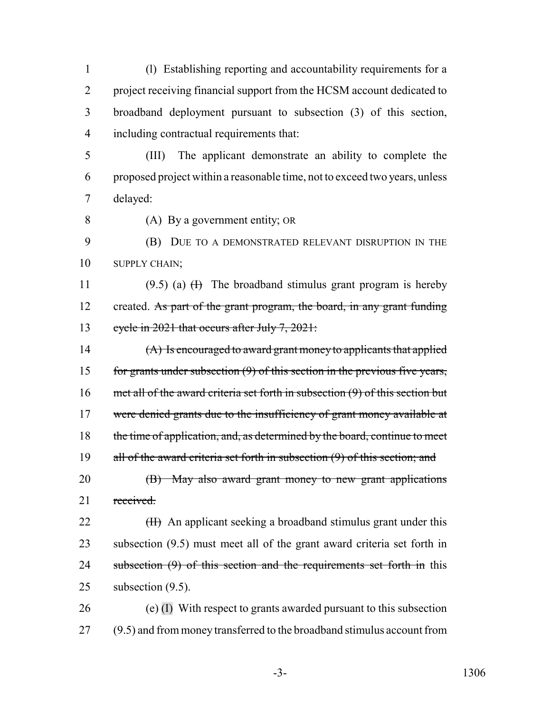(l) Establishing reporting and accountability requirements for a project receiving financial support from the HCSM account dedicated to broadband deployment pursuant to subsection (3) of this section, including contractual requirements that:

- 5 (III) The applicant demonstrate an ability to complete the 6 proposed project within a reasonable time, not to exceed two years, unless 7 delayed:
- 

8 (A) By a government entity; OR

9 (B) DUE TO A DEMONSTRATED RELEVANT DISRUPTION IN THE 10 SUPPLY CHAIN:

11 (9.5) (a)  $(H)$  The broadband stimulus grant program is hereby 12 created. As part of the grant program, the board, in any grant funding 13 cycle in 2021 that occurs after July 7, 2021:

14 (A) Is encouraged to award grant money to applicants that applied 15 for grants under subsection (9) of this section in the previous five years, 16 met all of the award criteria set forth in subsection (9) of this section but 17 were denied grants due to the insufficiency of grant money available at 18 the time of application, and, as determined by the board, continue to meet 19 all of the award criteria set forth in subsection (9) of this section; and 20 (B) May also award grant money to new grant applications 21 received.

22 (H) An applicant seeking a broadband stimulus grant under this 23 subsection (9.5) must meet all of the grant award criteria set forth in 24 subsection (9) of this section and the requirements set forth in this 25 subsection (9.5).

26 (e)  $(I)$  With respect to grants awarded pursuant to this subsection 27 (9.5) and from money transferred to the broadband stimulus account from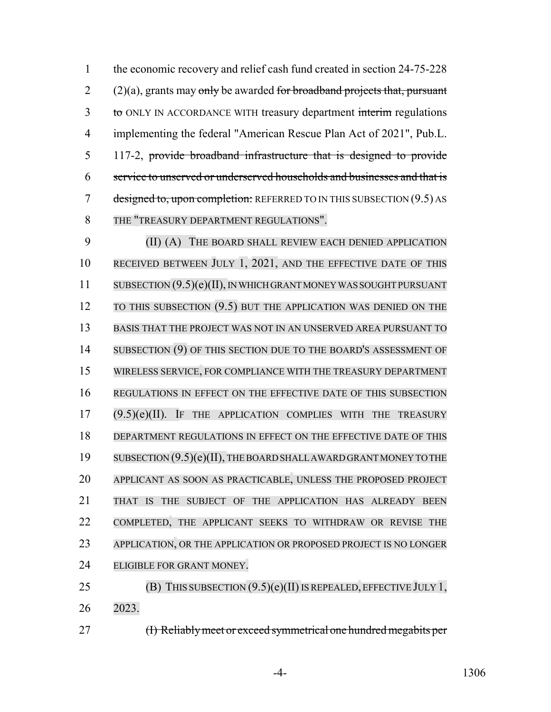the economic recovery and relief cash fund created in section 24-75-228  $2 \qquad (2)(a)$ , grants may only be awarded for broadband projects that, pursuant 3 to ONLY IN ACCORDANCE WITH treasury department interim regulations implementing the federal "American Rescue Plan Act of 2021", Pub.L. 117-2, provide broadband infrastructure that is designed to provide service to unserved or underserved households and businesses and that is 7 designed to, upon completion: REFERRED TO IN THIS SUBSECTION (9.5) AS THE "TREASURY DEPARTMENT REGULATIONS".

 (II) (A) THE BOARD SHALL REVIEW EACH DENIED APPLICATION 10 RECEIVED BETWEEN JULY 1, 2021, AND THE EFFECTIVE DATE OF THIS SUBSECTION (9.5)(e)(II), IN WHICH GRANT MONEY WAS SOUGHT PURSUANT 12 TO THIS SUBSECTION (9.5) BUT THE APPLICATION WAS DENIED ON THE BASIS THAT THE PROJECT WAS NOT IN AN UNSERVED AREA PURSUANT TO 14 SUBSECTION (9) OF THIS SECTION DUE TO THE BOARD'S ASSESSMENT OF WIRELESS SERVICE, FOR COMPLIANCE WITH THE TREASURY DEPARTMENT REGULATIONS IN EFFECT ON THE EFFECTIVE DATE OF THIS SUBSECTION (9.5)(e)(II). IF THE APPLICATION COMPLIES WITH THE TREASURY DEPARTMENT REGULATIONS IN EFFECT ON THE EFFECTIVE DATE OF THIS 19 SUBSECTION  $(9.5)(e)(II)$ , THE BOARD SHALL AWARD GRANT MONEY TO THE APPLICANT AS SOON AS PRACTICABLE, UNLESS THE PROPOSED PROJECT THAT IS THE SUBJECT OF THE APPLICATION HAS ALREADY BEEN COMPLETED, THE APPLICANT SEEKS TO WITHDRAW OR REVISE THE APPLICATION, OR THE APPLICATION OR PROPOSED PROJECT IS NO LONGER ELIGIBLE FOR GRANT MONEY.

25 (B) THIS SUBSECTION  $(9.5)(e)(II)$  IS REPEALED, EFFECTIVE JULY 1, 2023.

27 (I) Reliably meet or exceed symmetrical one hundred megabits per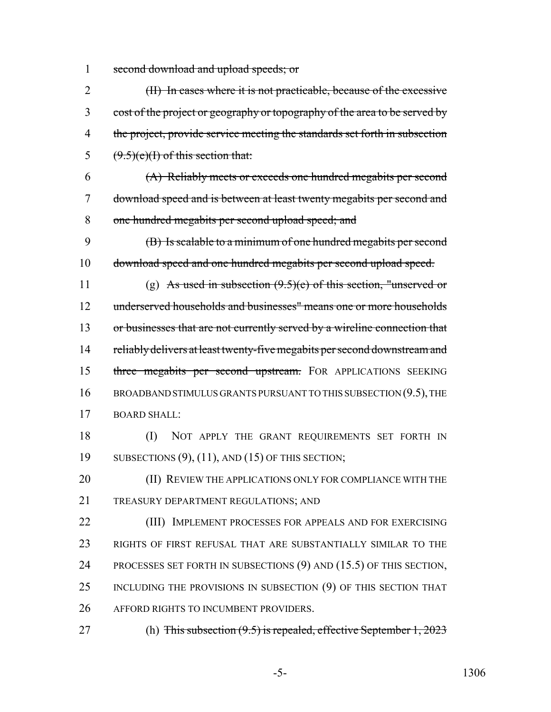1 second download and upload speeds; or

2 (II) In cases where it is not practicable, because of the excessive 3 cost of the project or geography or topography of the area to be served by 4 the project, provide service meeting the standards set forth in subsection 5  $(9.5)(e)(1)$  of this section that:

6 (A) Reliably meets or exceeds one hundred megabits per second 7 download speed and is between at least twenty megabits per second and 8 one hundred megabits per second upload speed; and

9 (B) Is scalable to a minimum of one hundred megabits per second 10 download speed and one hundred megabits per second upload speed.

11 (g) As used in subsection  $(9.5)(e)$  of this section, "unserved or 12 underserved households and businesses" means one or more households 13 or businesses that are not currently served by a wireline connection that 14 reliably delivers at least twenty-five megabits per second downstream and 15 three megabits per second upstream. FOR APPLICATIONS SEEKING 16 BROADBAND STIMULUS GRANTS PURSUANT TO THIS SUBSECTION (9.5), THE 17 BOARD SHALL:

18 (I) NOT APPLY THE GRANT REQUIREMENTS SET FORTH IN 19 SUBSECTIONS (9), (11), AND (15) OF THIS SECTION;

20 **(II) REVIEW THE APPLICATIONS ONLY FOR COMPLIANCE WITH THE** 21 TREASURY DEPARTMENT REGULATIONS; AND

22 (III) IMPLEMENT PROCESSES FOR APPEALS AND FOR EXERCISING 23 RIGHTS OF FIRST REFUSAL THAT ARE SUBSTANTIALLY SIMILAR TO THE 24 PROCESSES SET FORTH IN SUBSECTIONS (9) AND (15.5) OF THIS SECTION, 25 INCLUDING THE PROVISIONS IN SUBSECTION (9) OF THIS SECTION THAT 26 AFFORD RIGHTS TO INCUMBENT PROVIDERS.

27 (h) This subsection  $(9.5)$  is repealed, effective September 1, 2023